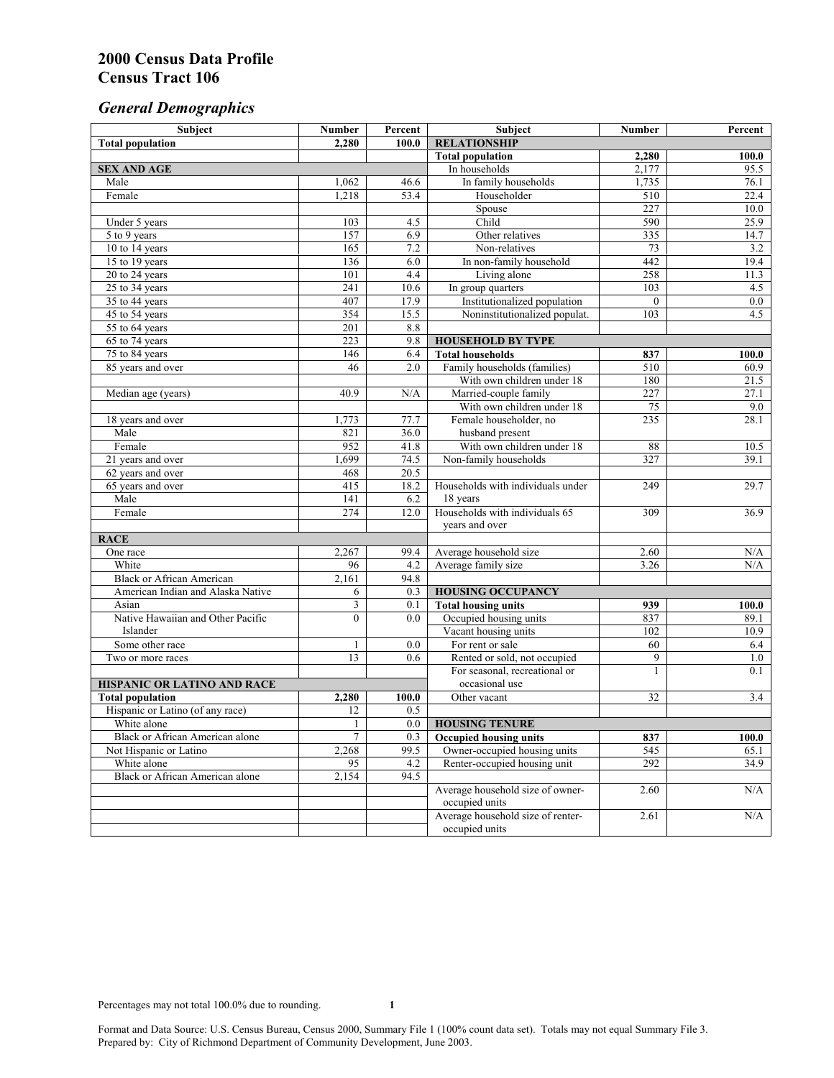# *General Demographics*

| Subject                            | <b>Number</b> | Percent      | Subject                                    | <b>Number</b>   | Percent            |
|------------------------------------|---------------|--------------|--------------------------------------------|-----------------|--------------------|
| <b>Total population</b>            | 2,280         | 100.0        | <b>RELATIONSHIP</b>                        |                 |                    |
|                                    |               |              | <b>Total population</b>                    | 2,280           | $\overline{100.0}$ |
| <b>SEX AND AGE</b>                 |               |              | In households                              | 2,177           | 95.5               |
| Male                               | 1,062         | 46.6         | In family households                       | 1,735           | 76.1               |
| Female                             | 1,218         | 53.4         | Householder                                | 510             | 22.4               |
|                                    |               |              | Spouse                                     | 227             | 10.0               |
| Under 5 years                      | 103           | 4.5          | Child                                      | 590             | 25.9               |
| 5 to 9 years                       | 157           | 6.9          | Other relatives                            | 335             | 14.7               |
| 10 to 14 years                     | 165           | 7.2          | Non-relatives                              | 73              | 3.2                |
| 15 to 19 years                     | 136           | 6.0          | In non-family household                    | 442             | 19.4               |
| 20 to 24 years                     | 101           | 4.4          | Living alone                               | 258             | 11.3               |
| $25 \text{ to } 34$ years          | 241<br>407    | 10.6         | In group quarters                          | 103<br>$\theta$ | 4.5<br>0.0         |
| 35 to 44 years                     | 354           | 17.9<br>15.5 | Institutionalized population               | 103             | 4.5                |
| 45 to 54 years                     | 201           | 8.8          | Noninstitutionalized populat.              |                 |                    |
| 55 to 64 years<br>65 to 74 years   | 223           | 9.8          | <b>HOUSEHOLD BY TYPE</b>                   |                 |                    |
| 75 to 84 years                     | 146           | 6.4          | <b>Total households</b>                    | 837             | 100.0              |
| 85 years and over                  | 46            | 2.0          | Family households (families)               | 510             | 60.9               |
|                                    |               |              | With own children under 18                 | 180             | 21.5               |
| Median age (years)                 | 40.9          | N/A          | Married-couple family                      | 227             | 27.1               |
|                                    |               |              | With own children under 18                 | 75              | 9.0                |
| 18 years and over                  | 1,773         | 77.7         | Female householder, no                     | 235             | 28.1               |
| Male                               | 821           | 36.0         | husband present                            |                 |                    |
| Female                             | 952           | 41.8         | With own children under 18                 | 88              | 10.5               |
| 21 years and over                  | 1,699         | 74.5         | Non-family households                      | 327             | 39.1               |
| 62 years and over                  | 468           | 20.5         |                                            |                 |                    |
| 65 years and over                  | 415           | 18.2         | Households with individuals under          | 249             | 29.7               |
| Male                               | 141           | 6.2          | 18 years                                   |                 |                    |
| Female                             | 274           | 12.0         | Households with individuals 65             | 309             | 36.9               |
|                                    |               |              | years and over                             |                 |                    |
| <b>RACE</b>                        |               |              |                                            |                 |                    |
| One race                           | 2,267         | 99.4         | Average household size                     | 2.60            | $\rm N/A$          |
| White                              | 96            | 4.2          | Average family size                        | 3.26            | N/A                |
| <b>Black or African American</b>   | 2,161         | 94.8         |                                            |                 |                    |
| American Indian and Alaska Native  | 6             | 0.3          | <b>HOUSING OCCUPANCY</b>                   |                 |                    |
| Asian                              | 3             | 0.1          | <b>Total housing units</b><br>939<br>100.0 |                 |                    |
| Native Hawaiian and Other Pacific  | $\theta$      | 0.0          | Occupied housing units                     | 837             | 89.1               |
| Islander                           |               |              | Vacant housing units                       | 102             | 10.9               |
| Some other race                    | $\mathbf{1}$  | 0.0          | For rent or sale                           | 60              | 6.4                |
| Two or more races                  | 13            | 0.6          | Rented or sold, not occupied               | 9               | 1.0                |
|                                    |               |              | For seasonal, recreational or              | 1               | 0.1                |
| <b>HISPANIC OR LATINO AND RACE</b> |               |              | occasional use                             |                 |                    |
| <b>Total population</b>            | 2,280         | 100.0        | Other vacant                               | 32              | 3.4                |
| Hispanic or Latino (of any race)   | 12            | 0.5          |                                            |                 |                    |
| White alone                        | 1             | 0.0          | <b>HOUSING TENURE</b>                      |                 |                    |
| Black or African American alone    | 7             | 0.3          | <b>Occupied housing units</b>              | 837             | 100.0              |
| Not Hispanic or Latino             | 2,268         | 99.5         | Owner-occupied housing units               | 545             | 65.1               |
| White alone                        | 95            | 4.2          | Renter-occupied housing unit               | 292             | 34.9               |
| Black or African American alone    | 2,154         | 94.5         |                                            |                 |                    |
|                                    |               |              | Average household size of owner-           | 2.60            | N/A                |
|                                    |               |              | occupied units                             |                 |                    |
|                                    |               |              | Average household size of renter-          | 2.61            | N/A                |
|                                    |               |              | occupied units                             |                 |                    |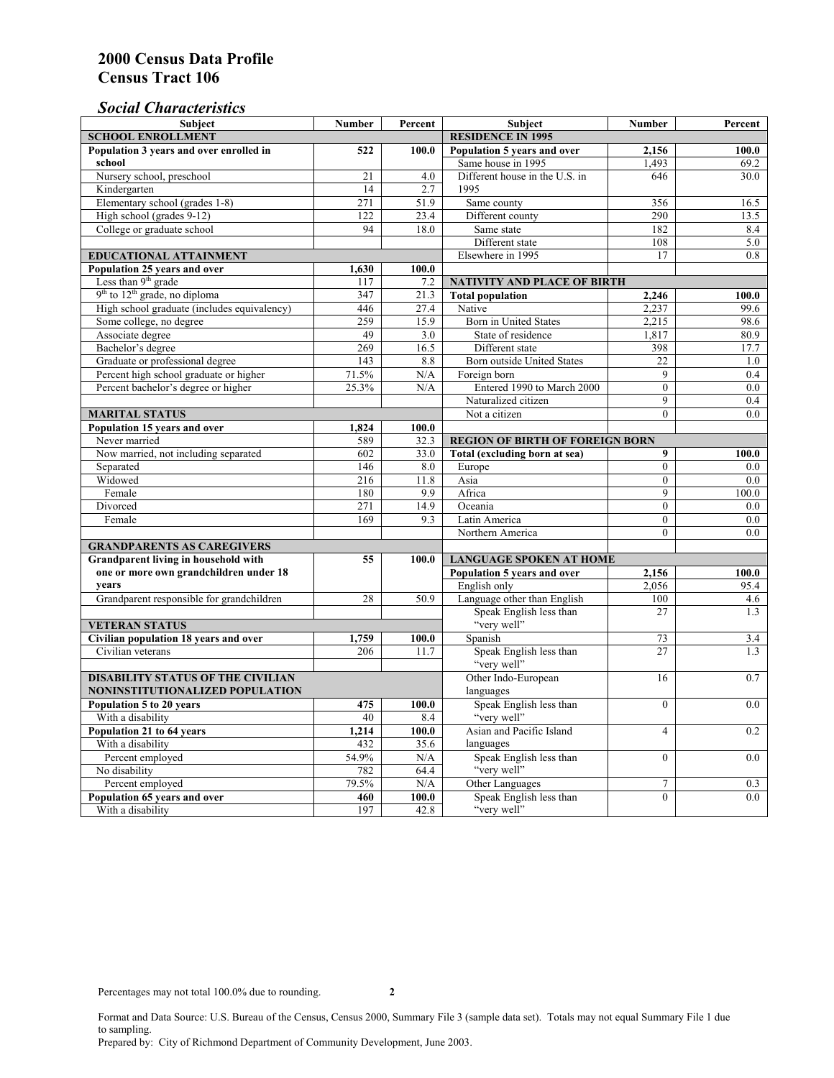# *Social Characteristics*

| <b>Subject</b>                                             | <b>Number</b>            | Percent  | Subject                                                | <b>Number</b>  | Percent    |
|------------------------------------------------------------|--------------------------|----------|--------------------------------------------------------|----------------|------------|
| <b>SCHOOL ENROLLMENT</b>                                   | <b>RESIDENCE IN 1995</b> |          |                                                        |                |            |
| Population 3 years and over enrolled in                    | 522                      | 100.0    | Population 5 years and over                            | 2,156          | 100.0      |
| school                                                     |                          |          | Same house in 1995                                     | 1,493          | 69.2       |
| Nursery school, preschool                                  | 21                       | 4.0      | Different house in the U.S. in                         | 646            | 30.0       |
| Kindergarten                                               | 14                       | 2.7      | 1995                                                   |                |            |
| Elementary school (grades 1-8)                             | 271                      | 51.9     | Same county                                            | 356            | 16.5       |
| High school (grades 9-12)                                  | 122                      | 23.4     | Different county                                       | 290            | 13.5       |
| College or graduate school                                 | 94                       | 18.0     | Same state                                             | 182            | 8.4        |
|                                                            |                          |          | Different state                                        | 108            | 5.0        |
| <b>EDUCATIONAL ATTAINMENT</b>                              |                          |          | Elsewhere in 1995                                      | 17             | 0.8        |
| Population 25 years and over                               | 1,630                    | 100.0    |                                                        |                |            |
| Less than 9 <sup>th</sup> grade                            | 117                      | 7.2      | NATIVITY AND PLACE OF BIRTH                            |                |            |
| $9th$ to $12th$ grade, no diploma                          | 347                      | 21.3     | <b>Total population</b>                                | 2,246          | 100.0      |
| High school graduate (includes equivalency)                | 446                      | 27.4     | Native                                                 | 2.237          | 99.6       |
| Some college, no degree                                    | 259                      | 15.9     | Born in United States                                  | 2,215          | 98.6       |
| Associate degree                                           | 49                       | 3.0      | State of residence                                     | 1,817          | 80.9       |
| Bachelor's degree                                          | 269                      | 16.5     | Different state                                        | 398            | 17.7       |
| Graduate or professional degree                            | 143                      | 8.8      | Born outside United States                             | 22             | 1.0        |
| Percent high school graduate or higher                     | 71.5%                    | N/A      | Foreign born                                           | $\overline{9}$ | 0.4        |
| Percent bachelor's degree or higher                        | 25.3%                    | N/A      | Entered 1990 to March 2000                             | $\mathbf{0}$   | $0.0\,$    |
|                                                            |                          |          | Naturalized citizen                                    | 9              | 0.4        |
| <b>MARITAL STATUS</b>                                      | Not a citizen            | $\Omega$ | 0.0                                                    |                |            |
| Population 15 years and over                               | 1,824                    | 100.0    |                                                        |                |            |
| Never married                                              | 589                      | 32.3     | <b>REGION OF BIRTH OF FOREIGN BORN</b>                 |                |            |
| Now married, not including separated                       | 602                      | 33.0     | Total (excluding born at sea)                          | 9              | 100.0      |
| Separated                                                  | 146                      | 8.0      | Europe                                                 | $\overline{0}$ | $0.0\,$    |
| Widowed                                                    | 216                      | 11.8     | Asia                                                   | $\overline{0}$ | 0.0        |
| Female                                                     | 180                      | 9.9      | Africa                                                 | 9              | 100.0      |
| Divorced                                                   | 271                      | 14.9     | Oceania                                                | $\mathbf{0}$   | 0.0        |
| Female                                                     | 169                      | 9.3      | Latin America                                          | $\mathbf{0}$   | 0.0        |
|                                                            |                          |          | Northern America                                       | $\theta$       | 0.0        |
| <b>GRANDPARENTS AS CAREGIVERS</b>                          |                          |          |                                                        |                |            |
| <b>Grandparent living in household with</b>                | 55                       | 100.0    | <b>LANGUAGE SPOKEN AT HOME</b><br>100.0                |                |            |
| one or more own grandchildren under 18                     |                          |          | Population 5 years and over                            | 2,156          |            |
| years                                                      |                          |          | English only                                           | 2,056          | 95.4       |
| Grandparent responsible for grandchildren                  | 28                       | 50.9     | Language other than English<br>Speak English less than | 100            | 4.6        |
|                                                            |                          |          |                                                        | 27             | 1.3        |
| <b>VETERAN STATUS</b>                                      |                          |          | "very well"                                            |                |            |
| Civilian population 18 years and over<br>Civilian veterans | 1,759<br>206             | 100.0    | Spanish<br>Speak English less than                     | 73<br>27       | 3.4<br>1.3 |
|                                                            |                          | 11.7     | "very well"                                            |                |            |
| <b>DISABILITY STATUS OF THE CIVILIAN</b>                   | Other Indo-European      | 16       | 0.7                                                    |                |            |
| NONINSTITUTIONALIZED POPULATION                            | languages                |          |                                                        |                |            |
| Population 5 to 20 years                                   | 475                      | 100.0    | Speak English less than                                | $\theta$       | 0.0        |
| With a disability                                          | 40                       | 8.4      | "very well"                                            |                |            |
| Population 21 to 64 years                                  | 1.214                    | 100.0    | Asian and Pacific Island                               | $\overline{4}$ | 0.2        |
| With a disability                                          | 432                      | 35.6     | languages                                              |                |            |
| Percent employed                                           | 54.9%                    | N/A      | Speak English less than                                | $\overline{0}$ | 0.0        |
| No disability                                              | 782                      | 64.4     | "very well"                                            |                |            |
| Percent employed                                           | 79.5%                    | N/A      | Other Languages                                        | $\tau$         | 0.3        |
| Population 65 years and over                               | 460                      | 100.0    | Speak English less than                                | $\overline{0}$ | 0.0        |
| With a disability                                          | 197                      | 42.8     | "very well"                                            |                |            |

Format and Data Source: U.S. Bureau of the Census, Census 2000, Summary File 3 (sample data set). Totals may not equal Summary File 1 due to sampling.

Prepared by: City of Richmond Department of Community Development, June 2003.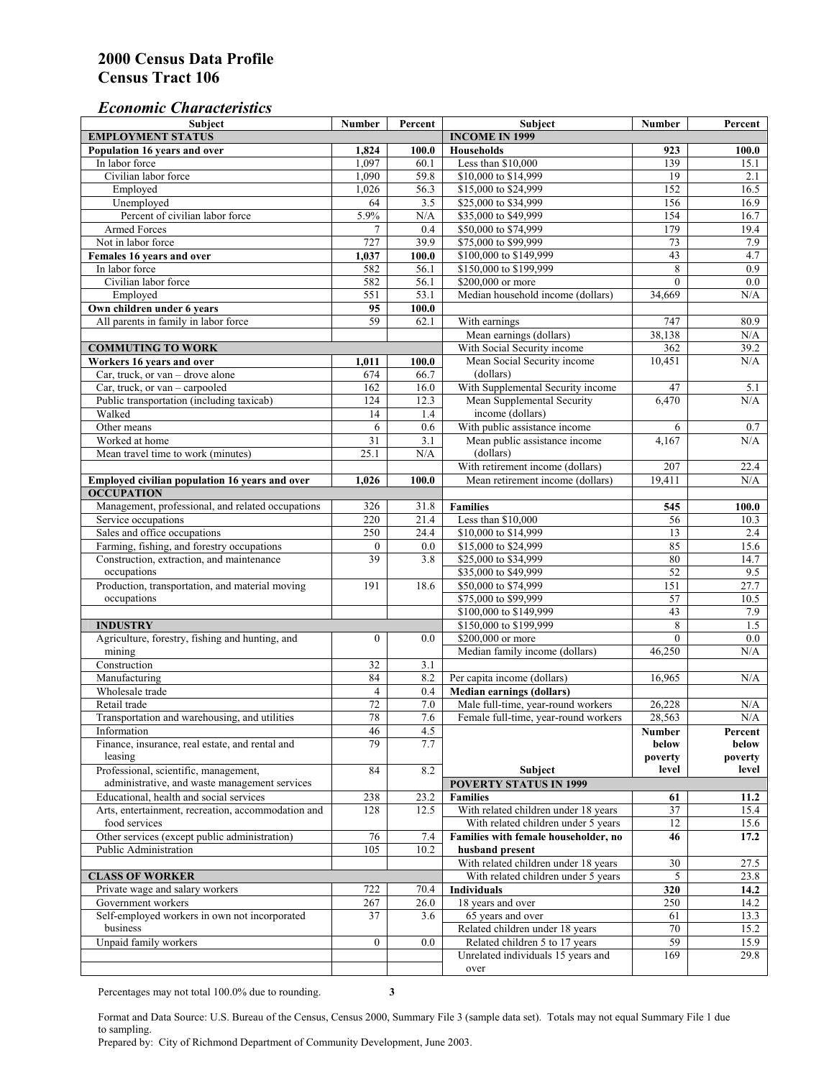## *Economic Characteristics*

| <b>Subject</b>                                                                         | Number           | Percent               | <b>Subject</b>                                  | <b>Number</b>    | Percent          |
|----------------------------------------------------------------------------------------|------------------|-----------------------|-------------------------------------------------|------------------|------------------|
| <b>EMPLOYMENT STATUS</b>                                                               |                  | <b>INCOME IN 1999</b> |                                                 |                  |                  |
| Population 16 years and over                                                           | 1,824            | 100.0                 | <b>Households</b>                               | 923              | 100.0            |
| In labor force                                                                         | 1,097            | 60.1                  | Less than \$10,000                              | 139              | 15.1             |
| Civilian labor force                                                                   | 1,090            | 59.8                  | \$10,000 to \$14,999                            | 19               | 2.1              |
| Employed                                                                               | 1,026            | 56.3                  | \$15,000 to \$24,999                            | 152              | 16.5             |
| Unemployed                                                                             | 64               | 3.5                   | \$25,000 to \$34,999                            | 156              | 16.9             |
| Percent of civilian labor force                                                        | 5.9%             | $\rm N/A$             | \$35,000 to \$49,999                            | 154              | 16.7             |
| Armed Forces                                                                           | $\overline{7}$   | 0.4                   | \$50,000 to \$74,999                            | 179              | 19.4             |
| Not in labor force                                                                     | 727              | 39.9                  | \$75,000 to \$99,999                            | 73               | 7.9              |
| Females 16 years and over                                                              | 1,037            | 100.0                 | \$100,000 to \$149,999                          | 43               | 4.7              |
| In labor force                                                                         | 582              | 56.1                  | \$150,000 to \$199,999                          | 8                | 0.9              |
| Civilian labor force                                                                   | 582              | 56.1                  | \$200,000 or more                               | $\mathbf{0}$     | 0.0              |
| Employed                                                                               | 551              | 53.1                  | Median household income (dollars)               | 34,669           | N/A              |
| Own children under 6 years                                                             | 95               | 100.0                 |                                                 |                  |                  |
| All parents in family in labor force                                                   | 59               | 62.1                  | With earnings                                   | 747              | 80.9             |
|                                                                                        |                  |                       | Mean earnings (dollars)                         | 38,138           | N/A              |
| <b>COMMUTING TO WORK</b>                                                               |                  |                       | With Social Security income                     | 362              | 39.2             |
| Workers 16 years and over                                                              | 1,011            | 100.0                 | Mean Social Security income                     | 10,451           | N/A              |
| Car, truck, or van – drove alone                                                       | 674              | 66.7                  | (dollars)                                       |                  |                  |
| Car, truck, or van - carpooled                                                         | 162              | 16.0                  | With Supplemental Security income               | 47               | 5.1              |
| Public transportation (including taxicab)                                              | 124              | 12.3                  | Mean Supplemental Security                      | 6,470            | N/A              |
| Walked                                                                                 | 14               | 1.4                   | income (dollars)                                |                  |                  |
| Other means                                                                            | 6                | 0.6                   | With public assistance income                   | 6                | 0.7              |
| Worked at home                                                                         | 31               | $\overline{3.1}$      | Mean public assistance income                   | 4,167            | N/A              |
| Mean travel time to work (minutes)                                                     | 25.1             | N/A                   | (dollars)                                       |                  |                  |
|                                                                                        |                  |                       | With retirement income (dollars)                | $\overline{207}$ | 22.4             |
| Employed civilian population 16 years and over                                         | 1,026            | 100.0                 | Mean retirement income (dollars)                | 19,411           | N/A              |
| <b>OCCUPATION</b>                                                                      |                  |                       |                                                 |                  |                  |
| Management, professional, and related occupations                                      | 326              | 31.8                  | <b>Families</b>                                 | 545              | 100.0            |
| Service occupations                                                                    | 220              | 21.4                  | Less than \$10,000                              | 56               | 10.3             |
| Sales and office occupations                                                           | 250              | 24.4                  | \$10,000 to \$14,999                            | 13               | 2.4              |
| Farming, fishing, and forestry occupations                                             | $\boldsymbol{0}$ | 0.0                   | \$15,000 to \$24,999                            | 85               | 15.6             |
| Construction, extraction, and maintenance                                              | 39               | 3.8                   | \$25,000 to \$34,999                            | 80               | 14.7             |
| occupations                                                                            |                  |                       | \$35,000 to \$49,999                            | 52               | 9.5              |
| Production, transportation, and material moving                                        | 191              | 18.6                  | \$50,000 to \$74,999                            | 151              | 27.7             |
| occupations                                                                            |                  |                       | \$75,000 to \$99,999                            | 57               | 10.5             |
|                                                                                        |                  |                       | \$100,000 to \$149,999                          | 43               | 7.9              |
| <b>INDUSTRY</b>                                                                        |                  |                       | \$150,000 to \$199,999                          | 8                | 1.5              |
| Agriculture, forestry, fishing and hunting, and                                        | $\overline{0}$   | 0.0                   | \$200,000 or more                               | $\theta$         | 0.0              |
| mining                                                                                 |                  |                       | Median family income (dollars)                  | 46,250           | N/A              |
| Construction                                                                           | 32               | 3.1                   |                                                 |                  |                  |
| Manufacturing                                                                          | 84               | 8.2                   | Per capita income (dollars)                     | 16,965           | N/A              |
| Wholesale trade                                                                        | 4                |                       | <b>Median earnings (dollars)</b>                |                  |                  |
| Retail trade                                                                           | 72               | 0.4                   | Male full-time, year-round workers              |                  |                  |
| Transportation and warehousing, and utilities                                          | 78               | $7.0\,$<br>7.6        | Female full-time, year-round workers            | 26,228<br>28,563 | N/A<br>N/A       |
|                                                                                        |                  |                       |                                                 |                  |                  |
| Information                                                                            | 46<br>79         | 4.5<br>7.7            |                                                 | Number           | Percent          |
| Finance, insurance, real estate, and rental and                                        |                  |                       |                                                 | below            | below            |
| leasing                                                                                | 84               | 8.2                   |                                                 | poverty<br>level | poverty<br>level |
| Professional, scientific, management,<br>administrative, and waste management services |                  |                       | <b>Subject</b><br><b>POVERTY STATUS IN 1999</b> |                  |                  |
|                                                                                        |                  |                       |                                                 |                  |                  |
| Educational, health and social services                                                | 238              | 23.2                  | <b>Families</b>                                 | 61               | 11.2             |
| Arts, entertainment, recreation, accommodation and                                     | 128              | 12.5                  | With related children under 18 years            | 37               | 15.4             |
| food services                                                                          |                  |                       | With related children under 5 years             | 12               | 15.6             |
| Other services (except public administration)                                          | 76               | 7.4                   | Families with female householder, no            | 46               | 17.2             |
| <b>Public Administration</b>                                                           | 105              | 10.2                  | husband present                                 |                  |                  |
|                                                                                        |                  |                       | With related children under 18 years            | 30               | 27.5             |
| <b>CLASS OF WORKER</b>                                                                 |                  |                       | With related children under 5 years             | 5                | 23.8             |
| Private wage and salary workers                                                        | 722              | 70.4                  | <b>Individuals</b>                              | 320              | 14.2             |
| Government workers                                                                     | 267              | 26.0                  | 18 years and over                               | 250              | 14.2             |
| Self-employed workers in own not incorporated                                          | 37               | 3.6                   | 65 years and over                               | 61               | 13.3             |
| business                                                                               |                  |                       | Related children under 18 years                 | 70               | 15.2             |
| Unpaid family workers                                                                  | $\boldsymbol{0}$ | 0.0                   | Related children 5 to 17 years                  | 59               | 15.9             |
|                                                                                        |                  |                       | Unrelated individuals 15 years and              | 169              | 29.8             |
|                                                                                        |                  |                       | over                                            |                  |                  |

Percentages may not total 100.0% due to rounding. **3** 

Format and Data Source: U.S. Bureau of the Census, Census 2000, Summary File 3 (sample data set). Totals may not equal Summary File 1 due to sampling.

Prepared by: City of Richmond Department of Community Development, June 2003.